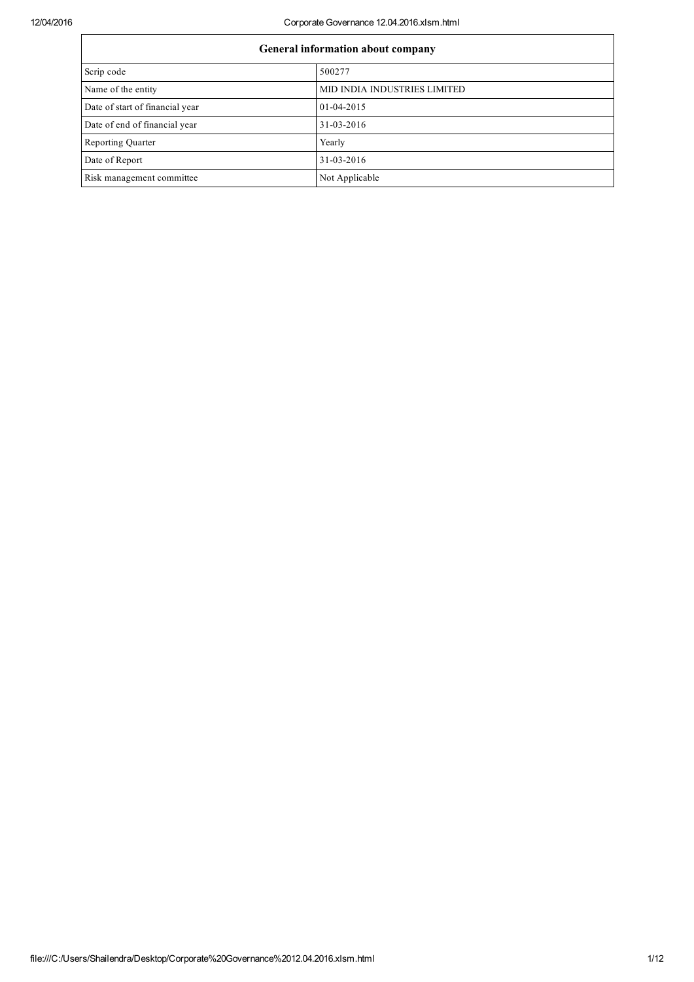## 12/04/2016 Corporate Governance 12.04.2016.xlsm.html

| General information about company |                              |  |
|-----------------------------------|------------------------------|--|
| Scrip code                        | 500277                       |  |
| Name of the entity                | MID INDIA INDUSTRIES LIMITED |  |
| Date of start of financial year   | 01-04-2015                   |  |
| Date of end of financial year     | 31-03-2016                   |  |
| Reporting Quarter                 | Yearly                       |  |
| Date of Report                    | 31-03-2016                   |  |
| Risk management committee.        | Not Applicable               |  |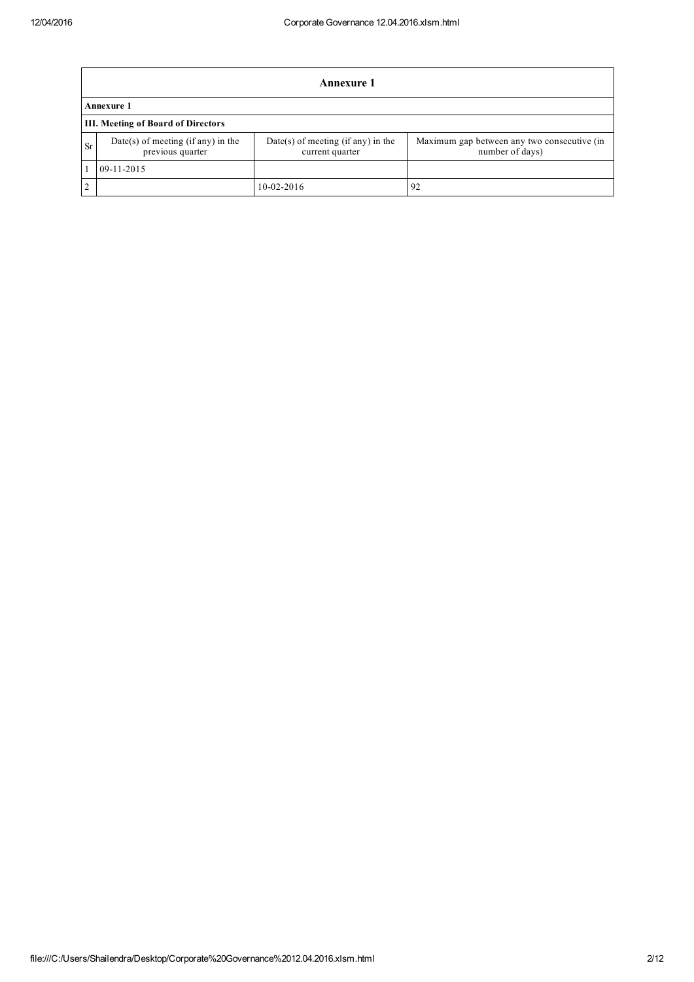|                | <b>Annexure 1</b>                                        |                                                       |                                                                |  |  |
|----------------|----------------------------------------------------------|-------------------------------------------------------|----------------------------------------------------------------|--|--|
|                | Annexure 1                                               |                                                       |                                                                |  |  |
|                | <b>III. Meeting of Board of Directors</b>                |                                                       |                                                                |  |  |
| Sr             | $Date(s)$ of meeting (if any) in the<br>previous quarter | Date(s) of meeting (if any) in the<br>current quarter | Maximum gap between any two consecutive (in<br>number of days) |  |  |
|                | 09-11-2015                                               |                                                       |                                                                |  |  |
| $\overline{2}$ |                                                          | $10-02-2016$                                          | 92                                                             |  |  |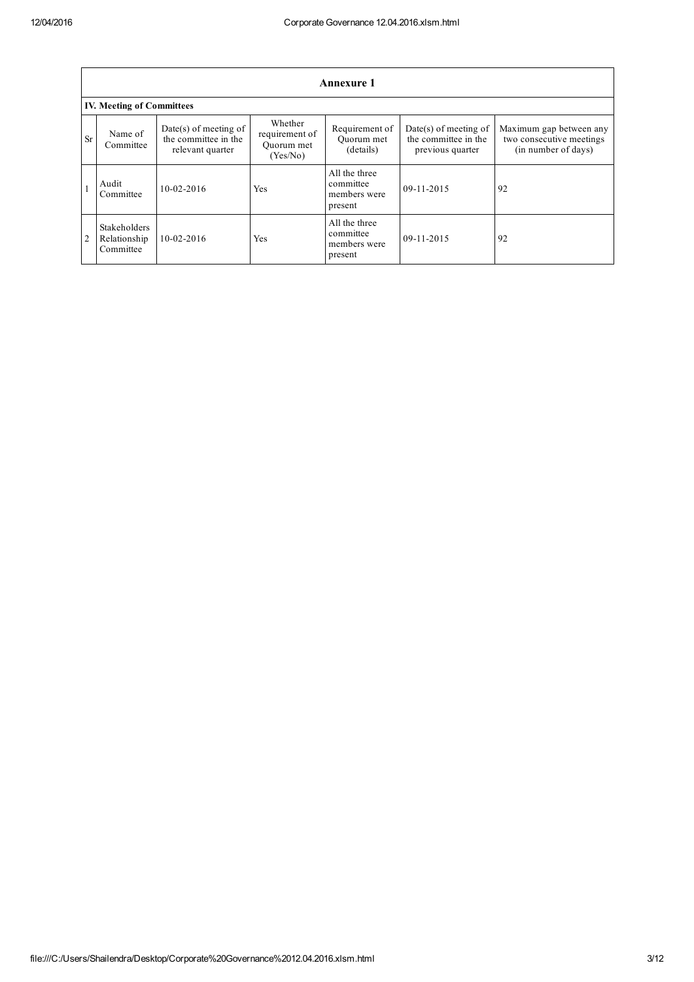|                | <b>Annexure 1</b>                         |                                                                     |                                                     |                                                       |                                                                     |                                                                            |
|----------------|-------------------------------------------|---------------------------------------------------------------------|-----------------------------------------------------|-------------------------------------------------------|---------------------------------------------------------------------|----------------------------------------------------------------------------|
|                | <b>IV. Meeting of Committees</b>          |                                                                     |                                                     |                                                       |                                                                     |                                                                            |
| <b>Sr</b>      | Name of<br>Committee                      | $Date(s)$ of meeting of<br>the committee in the<br>relevant quarter | Whether<br>requirement of<br>Ouorum met<br>(Yes/No) | Requirement of<br>Ouorum met<br>(details)             | $Date(s)$ of meeting of<br>the committee in the<br>previous quarter | Maximum gap between any<br>two consecutive meetings<br>(in number of days) |
|                | Audit<br>Committee                        | $10-02-2016$                                                        | Yes                                                 | All the three<br>committee<br>members were<br>present | $09-11-2015$                                                        | 92                                                                         |
| $\overline{2}$ | Stakeholders<br>Relationship<br>Committee | $10 - 02 - 2016$                                                    | Yes                                                 | All the three<br>committee<br>members were<br>present | 09-11-2015                                                          | 92                                                                         |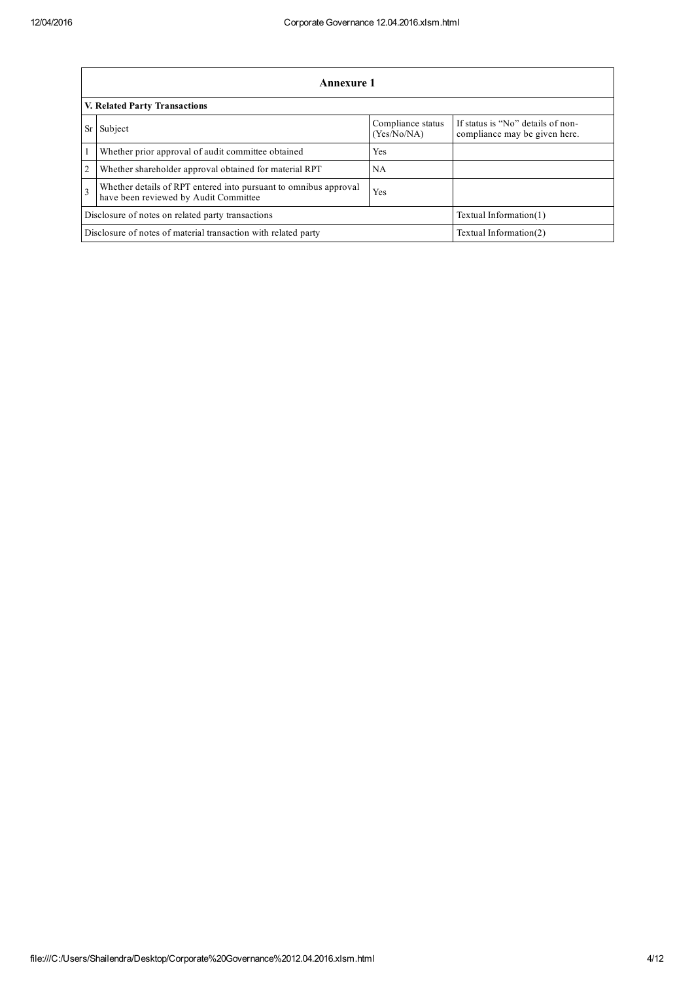|                                                                                                                                   | <b>Annexure 1</b>                                      |                                  |                                                                    |  |  |
|-----------------------------------------------------------------------------------------------------------------------------------|--------------------------------------------------------|----------------------------------|--------------------------------------------------------------------|--|--|
|                                                                                                                                   | <b>V. Related Party Transactions</b>                   |                                  |                                                                    |  |  |
| Sr                                                                                                                                | Subject                                                | Compliance status<br>(Yes/No/NA) | If status is "No" details of non-<br>compliance may be given here. |  |  |
|                                                                                                                                   | Whether prior approval of audit committee obtained     | Yes                              |                                                                    |  |  |
| $\overline{2}$                                                                                                                    | Whether shareholder approval obtained for material RPT | NA                               |                                                                    |  |  |
| Whether details of RPT entered into pursuant to omnibus approval<br>$\mathcal{F}$<br>Yes<br>have been reviewed by Audit Committee |                                                        |                                  |                                                                    |  |  |
|                                                                                                                                   | Disclosure of notes on related party transactions      | Textual Information(1)           |                                                                    |  |  |
| Disclosure of notes of material transaction with related party<br>Textual Information(2)                                          |                                                        |                                  |                                                                    |  |  |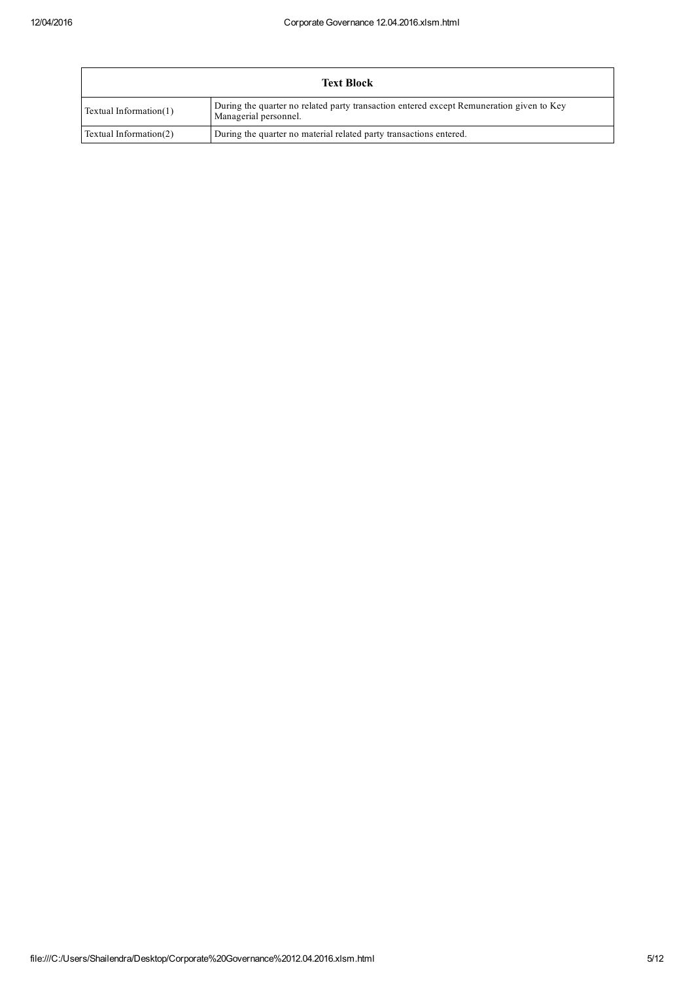|                        | <b>Text Block</b>                                                                                                 |
|------------------------|-------------------------------------------------------------------------------------------------------------------|
| Textual Information(1) | During the quarter no related party transaction entered except Remuneration given to Key<br>Managerial personnel. |
| Textual Information(2) | During the quarter no material related party transactions entered.                                                |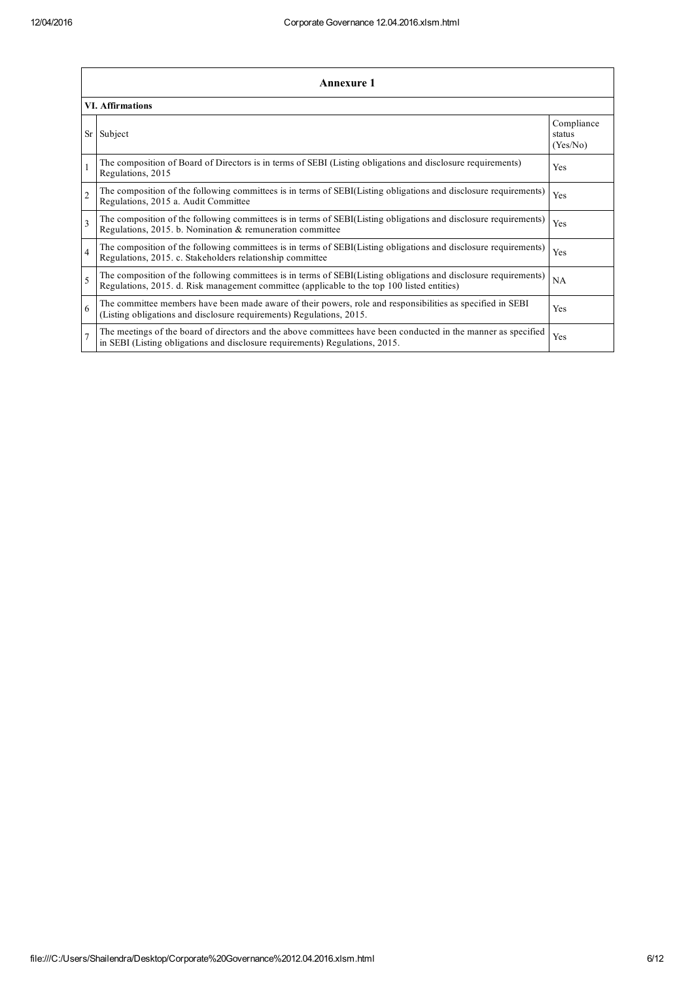|                 | <b>Annexure 1</b>                                                                                                                                                                                               |                                  |  |  |  |
|-----------------|-----------------------------------------------------------------------------------------------------------------------------------------------------------------------------------------------------------------|----------------------------------|--|--|--|
|                 | <b>VI. Affirmations</b>                                                                                                                                                                                         |                                  |  |  |  |
| Sr <sub>1</sub> | Subject                                                                                                                                                                                                         | Compliance<br>status<br>(Yes/No) |  |  |  |
|                 | The composition of Board of Directors is in terms of SEBI (Listing obligations and disclosure requirements)<br>Regulations, 2015                                                                                | Yes                              |  |  |  |
| $\overline{2}$  | The composition of the following committees is in terms of SEBI(Listing obligations and disclosure requirements)<br>Regulations, 2015 a. Audit Committee                                                        | Yes                              |  |  |  |
| $\mathbf{3}$    | The composition of the following committees is in terms of SEBI(Listing obligations and disclosure requirements)<br>Regulations, 2015. b. Nomination & remuneration committee                                   | Yes                              |  |  |  |
| $\overline{4}$  | The composition of the following committees is in terms of SEBI(Listing obligations and disclosure requirements)<br>Regulations, 2015. c. Stakeholders relationship committee                                   | Yes                              |  |  |  |
| $\varsigma$     | The composition of the following committees is in terms of SEBI(Listing obligations and disclosure requirements)<br>Regulations, 2015. d. Risk management committee (applicable to the top 100 listed entities) | NA                               |  |  |  |
| 6               | The committee members have been made aware of their powers, role and responsibilities as specified in SEBI<br>(Listing obligations and disclosure requirements) Regulations, 2015.                              | Yes                              |  |  |  |
|                 | The meetings of the board of directors and the above committees have been conducted in the manner as specified<br>in SEBI (Listing obligations and disclosure requirements) Regulations, 2015.                  | Yes                              |  |  |  |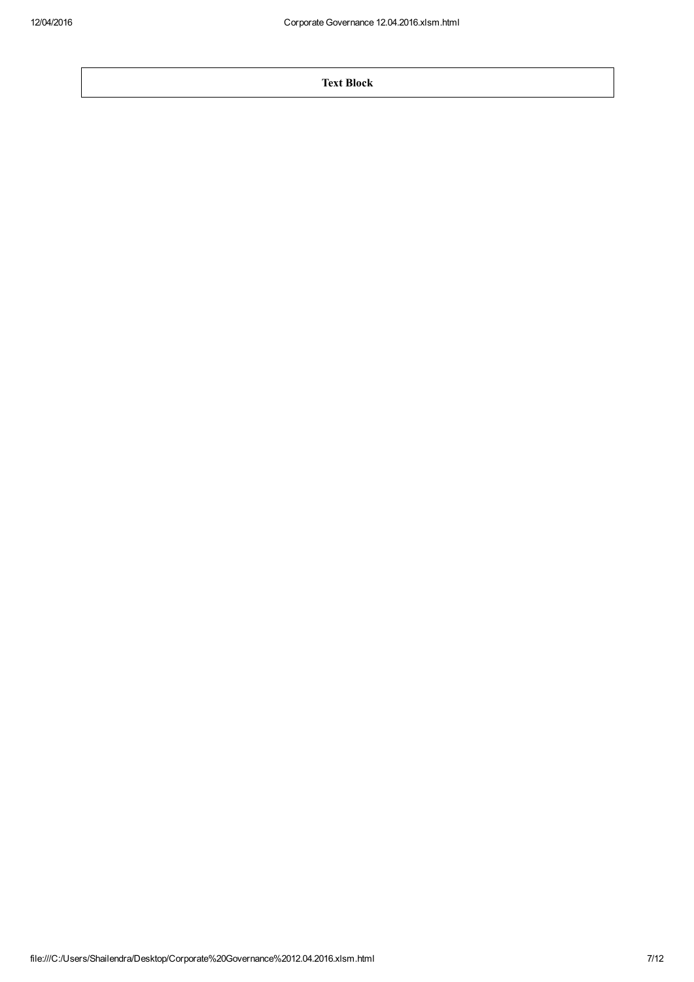Text Block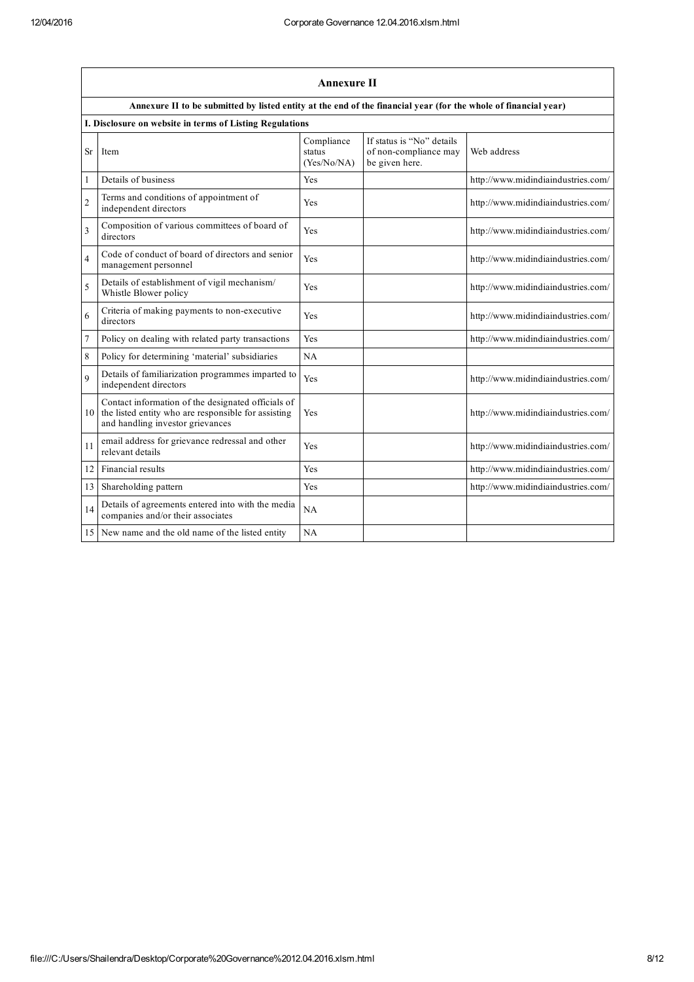|                | <b>Annexure II</b>                                                                                                                            |                                     |                                                                      |                                    |  |  |
|----------------|-----------------------------------------------------------------------------------------------------------------------------------------------|-------------------------------------|----------------------------------------------------------------------|------------------------------------|--|--|
|                | Annexure II to be submitted by listed entity at the end of the financial year (for the whole of financial year)                               |                                     |                                                                      |                                    |  |  |
|                | I. Disclosure on website in terms of Listing Regulations                                                                                      |                                     |                                                                      |                                    |  |  |
| Sr             | Item                                                                                                                                          | Compliance<br>status<br>(Yes/No/NA) | If status is "No" details<br>of non-compliance may<br>be given here. | Web address                        |  |  |
| $\mathbf{1}$   | Details of business                                                                                                                           | Yes                                 |                                                                      | http://www.midindiaindustries.com/ |  |  |
| $\overline{2}$ | Terms and conditions of appointment of<br>independent directors                                                                               | Yes                                 |                                                                      | http://www.midindiaindustries.com/ |  |  |
| 3              | Composition of various committees of board of<br>directors                                                                                    | Yes                                 |                                                                      | http://www.midindiaindustries.com/ |  |  |
| 4              | Code of conduct of board of directors and senior<br>management personnel                                                                      | Yes                                 |                                                                      | http://www.midindiaindustries.com/ |  |  |
| 5              | Details of establishment of vigil mechanism/<br>Whistle Blower policy                                                                         | Yes                                 |                                                                      | http://www.midindiaindustries.com/ |  |  |
| 6              | Criteria of making payments to non-executive<br>directors                                                                                     | Yes                                 |                                                                      | http://www.midindiaindustries.com/ |  |  |
| 7              | Policy on dealing with related party transactions                                                                                             | Yes                                 |                                                                      | http://www.midindiaindustries.com/ |  |  |
| 8              | Policy for determining 'material' subsidiaries                                                                                                | NA                                  |                                                                      |                                    |  |  |
| 9              | Details of familiarization programmes imparted to<br>independent directors                                                                    | Yes                                 |                                                                      | http://www.midindiaindustries.com/ |  |  |
| 10             | Contact information of the designated officials of<br>the listed entity who are responsible for assisting<br>and handling investor grievances | Yes                                 |                                                                      | http://www.midindiaindustries.com/ |  |  |
| 11             | email address for grievance redressal and other<br>relevant details                                                                           | Yes                                 |                                                                      | http://www.midindiaindustries.com/ |  |  |
| 12             | Financial results                                                                                                                             | Yes                                 |                                                                      | http://www.midindiaindustries.com/ |  |  |
| 13             | Shareholding pattern                                                                                                                          | Yes                                 |                                                                      | http://www.midindiaindustries.com/ |  |  |
| 14             | Details of agreements entered into with the media<br>companies and/or their associates                                                        | NA                                  |                                                                      |                                    |  |  |
| 15             | New name and the old name of the listed entity                                                                                                | NA                                  |                                                                      |                                    |  |  |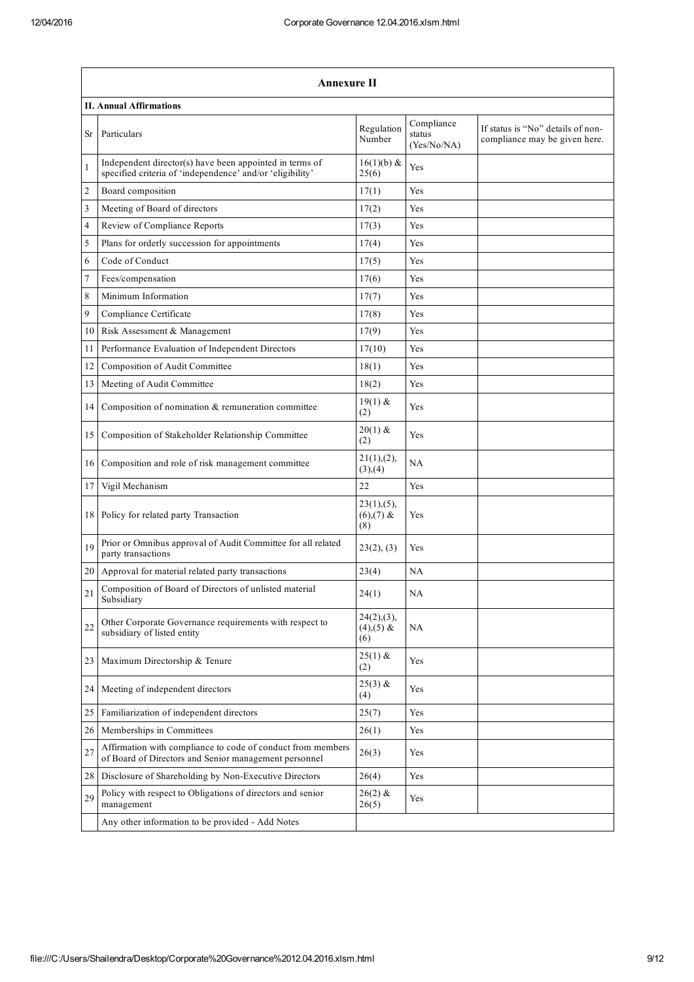|    | <b>Annexure II</b>                                                                                                   |                                     |                                     |                                                                    |  |  |
|----|----------------------------------------------------------------------------------------------------------------------|-------------------------------------|-------------------------------------|--------------------------------------------------------------------|--|--|
|    | <b>II. Annual Affirmations</b>                                                                                       |                                     |                                     |                                                                    |  |  |
| Sr | Particulars                                                                                                          | Regulation<br>Number                | Compliance<br>status<br>(Yes/No/NA) | If status is "No" details of non-<br>compliance may be given here. |  |  |
| 1  | Independent director(s) have been appointed in terms of<br>specified criteria of 'independence' and/or 'eligibility' | $16(1)(b)$ &<br>25(6)               | Yes                                 |                                                                    |  |  |
| 2  | Board composition                                                                                                    | 17(1)                               | Yes                                 |                                                                    |  |  |
| 3  | Meeting of Board of directors                                                                                        | 17(2)                               | Yes                                 |                                                                    |  |  |
| 4  | Review of Compliance Reports                                                                                         | 17(3)                               | Yes                                 |                                                                    |  |  |
| 5  | Plans for orderly succession for appointments                                                                        | 17(4)                               | Yes                                 |                                                                    |  |  |
| 6  | Code of Conduct                                                                                                      | 17(5)                               | Yes                                 |                                                                    |  |  |
| 7  | Fees/compensation                                                                                                    | 17(6)                               | Yes                                 |                                                                    |  |  |
| 8  | Minimum Information                                                                                                  | 17(7)                               | Yes                                 |                                                                    |  |  |
| 9  | Compliance Certificate                                                                                               | 17(8)                               | Yes                                 |                                                                    |  |  |
| 10 | Risk Assessment & Management                                                                                         | 17(9)                               | Yes                                 |                                                                    |  |  |
| 11 | Performance Evaluation of Independent Directors                                                                      | 17(10)                              | Yes                                 |                                                                    |  |  |
| 12 | Composition of Audit Committee                                                                                       | 18(1)                               | Yes                                 |                                                                    |  |  |
| 13 | Meeting of Audit Committee                                                                                           | 18(2)                               | Yes                                 |                                                                    |  |  |
| 14 | Composition of nomination & remuneration committee                                                                   | $19(1)$ &<br>(2)                    | Yes                                 |                                                                    |  |  |
| 15 | Composition of Stakeholder Relationship Committee                                                                    | $20(1)$ &<br>(2)                    | Yes                                 |                                                                    |  |  |
| 16 | Composition and role of risk management committee                                                                    | 21(1), (2),<br>(3), (4)             | NA                                  |                                                                    |  |  |
| 17 | Vigil Mechanism                                                                                                      | 22                                  | Yes                                 |                                                                    |  |  |
| 18 | Policy for related party Transaction                                                                                 | 23(1), (5),<br>$(6),(7)$ &<br>(8)   | Yes                                 |                                                                    |  |  |
| 19 | Prior or Omnibus approval of Audit Committee for all related<br>party transactions                                   | 23(2), (3)                          | Yes                                 |                                                                    |  |  |
| 20 | Approval for material related party transactions                                                                     | 23(4)                               | NA                                  |                                                                    |  |  |
| 21 | Composition of Board of Directors of unlisted material<br>Subsidiary                                                 | 24(1)                               | NA                                  |                                                                    |  |  |
| 22 | Other Corporate Governance requirements with respect to<br>subsidiary of listed entity                               | $24(2),(3)$ ,<br>$(4),(5)$ &<br>(6) | NA                                  |                                                                    |  |  |
| 23 | Maximum Directorship & Tenure                                                                                        | $25(1)$ &<br>(2)                    | Yes                                 |                                                                    |  |  |
| 24 | Meeting of independent directors                                                                                     | $25(3)$ &<br>(4)                    | Yes                                 |                                                                    |  |  |
| 25 | Familiarization of independent directors                                                                             | 25(7)                               | Yes                                 |                                                                    |  |  |
| 26 | Memberships in Committees                                                                                            | 26(1)                               | Yes                                 |                                                                    |  |  |
| 27 | Affirmation with compliance to code of conduct from members<br>of Board of Directors and Senior management personnel | 26(3)                               | Yes                                 |                                                                    |  |  |
| 28 | Disclosure of Shareholding by Non-Executive Directors                                                                | 26(4)                               | Yes                                 |                                                                    |  |  |
| 29 | Policy with respect to Obligations of directors and senior<br>management                                             | $26(2)$ &<br>26(5)                  | Yes                                 |                                                                    |  |  |
|    | Any other information to be provided - Add Notes                                                                     |                                     |                                     |                                                                    |  |  |
|    |                                                                                                                      |                                     |                                     |                                                                    |  |  |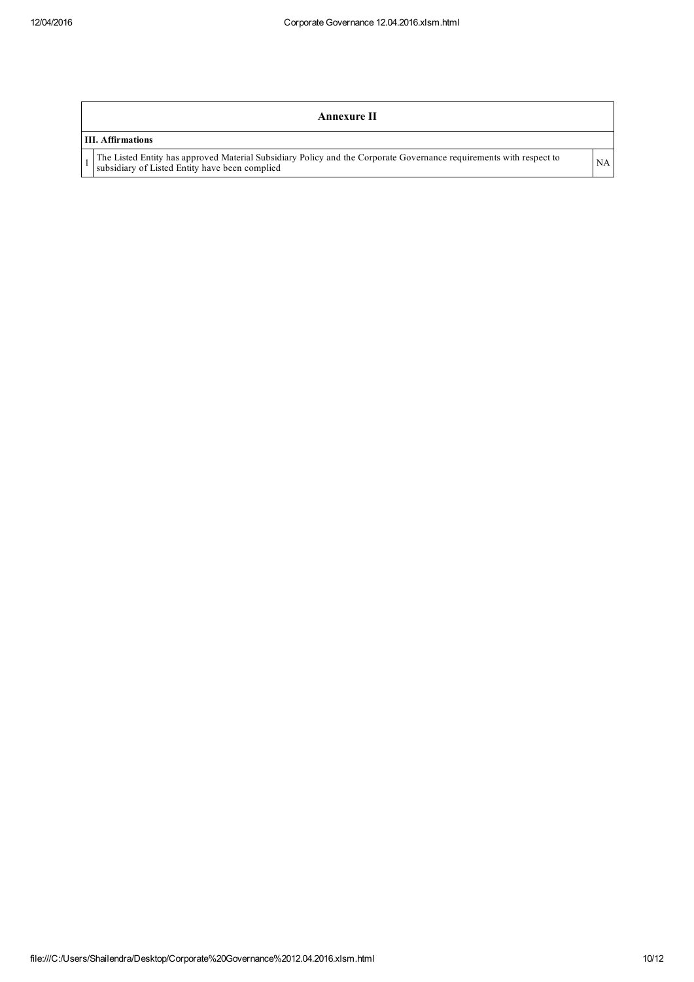| Annexure II                                                                                                                                                           |    |
|-----------------------------------------------------------------------------------------------------------------------------------------------------------------------|----|
| <b>III. Affirmations</b>                                                                                                                                              |    |
| The Listed Entity has approved Material Subsidiary Policy and the Corporate Governance requirements with respect to<br>subsidiary of Listed Entity have been complied | NA |
|                                                                                                                                                                       |    |